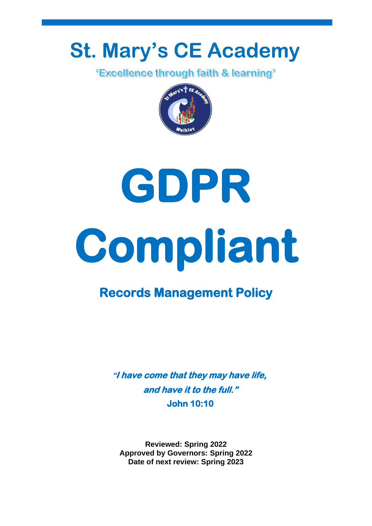## **St. Mary's CE Academy**

"Excellence through faith & learning"



# **GDPR Compliant**

### **Records Management Policy**

**"I have come that they may have life, and have it to the full." John 10:10** 

**Reviewed: Spring 2022 Approved by Governors: Spring 2022 Date of next review: Spring 2023**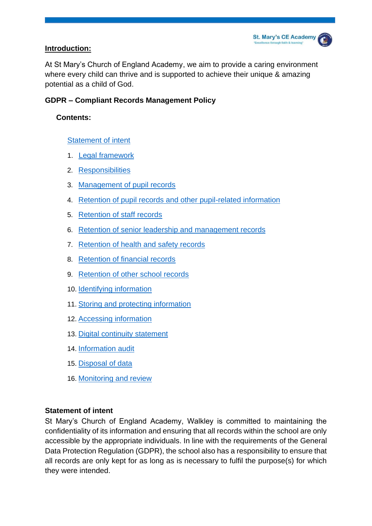#### **Introduction:**

At St Mary's Church of England Academy, we aim to provide a caring environment where every child can thrive and is supported to achieve their unique & amazing potential as a child of God.

#### **GDPR – Compliant Records Management Policy**

#### **Contents:**

#### Statement of intent

- 1. Legal framework
- 2. Responsibilities
- 3. Management of pupil records
- 4. Retention of pupil records and other pupil-related information
- 5. [Retention of staff records](#page-11-0)
- 6. [Retention of senior leadership and management records](#page-13-0)
- 7. [Retention of health and safety records](#page-15-0)
- 8. [Retention of financial records](#page-16-0)
- 9. [Retention of other school records](#page-18-0)
- 10. Identifying information
- 11. Storing and protecting information
- 12. [Accessing information](#page-21-0)
- 13. [Digital continuity statement](#page-22-0)
- 14. [Information audit](#page-23-0)
- 15. [Disposal of data](#page-24-0)
- 16. [Monitoring and review](#page-24-1)

#### **Statement of intent**

St Mary's Church of England Academy, Walkley is committed to maintaining the confidentiality of its information and ensuring that all records within the school are only accessible by the appropriate individuals. In line with the requirements of the General Data Protection Regulation (GDPR), the school also has a responsibility to ensure that all records are only kept for as long as is necessary to fulfil the purpose(s) for which they were intended.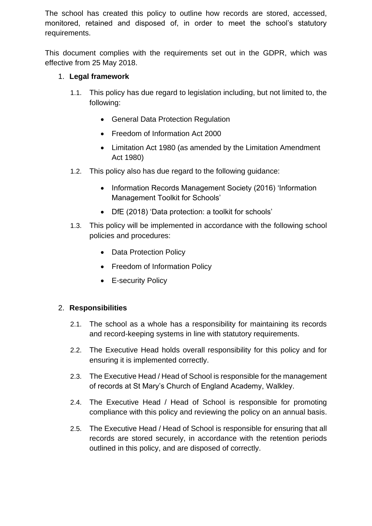The school has created this policy to outline how records are stored, accessed, monitored, retained and disposed of, in order to meet the school's statutory requirements.

This document complies with the requirements set out in the GDPR, which was effective from 25 May 2018.

#### 1. **Legal framework**

- 1.1. This policy has due regard to legislation including, but not limited to, the following:
	- General Data Protection Regulation
	- Freedom of Information Act 2000
	- Limitation Act 1980 (as amended by the Limitation Amendment Act 1980)
- 1.2. This policy also has due regard to the following guidance:
	- Information Records Management Society (2016) 'Information Management Toolkit for Schools'
	- DfE (2018) 'Data protection: a toolkit for schools'
- 1.3. This policy will be implemented in accordance with the following school policies and procedures:
	- Data Protection Policy
	- Freedom of Information Policy
	- E-security Policy

#### 2. **Responsibilities**

- 2.1. The school as a whole has a responsibility for maintaining its records and record-keeping systems in line with statutory requirements.
- 2.2. The Executive Head holds overall responsibility for this policy and for ensuring it is implemented correctly.
- 2.3. The Executive Head / Head of School is responsible for the management of records at St Mary's Church of England Academy, Walkley.
- 2.4. The Executive Head / Head of School is responsible for promoting compliance with this policy and reviewing the policy on an annual basis.
- 2.5. The Executive Head / Head of School is responsible for ensuring that all records are stored securely, in accordance with the retention periods outlined in this policy, and are disposed of correctly.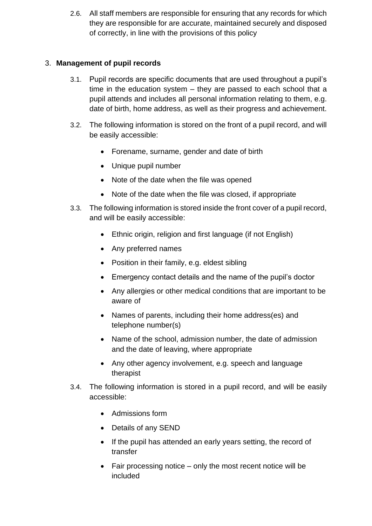2.6. All staff members are responsible for ensuring that any records for which they are responsible for are accurate, maintained securely and disposed of correctly, in line with the provisions of this policy

#### 3. **Management of pupil records**

- 3.1. Pupil records are specific documents that are used throughout a pupil's time in the education system – they are passed to each school that a pupil attends and includes all personal information relating to them, e.g. date of birth, home address, as well as their progress and achievement.
- 3.2. The following information is stored on the front of a pupil record, and will be easily accessible:
	- Forename, surname, gender and date of birth
	- Unique pupil number
	- Note of the date when the file was opened
	- Note of the date when the file was closed, if appropriate
- 3.3. The following information is stored inside the front cover of a pupil record, and will be easily accessible:
	- Ethnic origin, religion and first language (if not English)
	- Any preferred names
	- Position in their family, e.g. eldest sibling
	- Emergency contact details and the name of the pupil's doctor
	- Any allergies or other medical conditions that are important to be aware of
	- Names of parents, including their home address(es) and telephone number(s)
	- Name of the school, admission number, the date of admission and the date of leaving, where appropriate
	- Any other agency involvement, e.g. speech and language therapist
- 3.4. The following information is stored in a pupil record, and will be easily accessible:
	- Admissions form
	- Details of any SEND
	- If the pupil has attended an early years setting, the record of transfer
	- Fair processing notice only the most recent notice will be included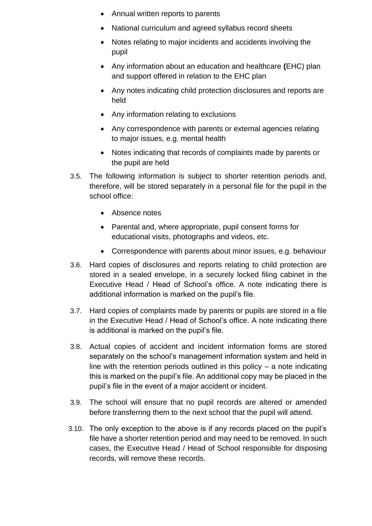- Annual written reports to parents
- National curriculum and agreed syllabus record sheets
- Notes relating to major incidents and accidents involving the pupil
- Any information about an education and healthcare **(**EHC) plan and support offered in relation to the EHC plan
- Any notes indicating child protection disclosures and reports are held
- Any information relating to exclusions
- Any correspondence with parents or external agencies relating to major issues, e.g. mental health
- Notes indicating that records of complaints made by parents or the pupil are held
- 3.5. The following information is subject to shorter retention periods and, therefore, will be stored separately in a personal file for the pupil in the school office:
	- Absence notes
	- Parental and, where appropriate, pupil consent forms for educational visits, photographs and videos, etc.
	- Correspondence with parents about minor issues, e.g. behaviour
- 3.6. Hard copies of disclosures and reports relating to child protection are stored in a sealed envelope, in a securely locked filing cabinet in the Executive Head / Head of School's office. A note indicating there is additional information is marked on the pupil's file.
- 3.7. Hard copies of complaints made by parents or pupils are stored in a file in the Executive Head / Head of School's office. A note indicating there is additional is marked on the pupil's file.
- 3.8. Actual copies of accident and incident information forms are stored separately on the school's management information system and held in line with the retention periods outlined in this policy  $-$  a note indicating this is marked on the pupil's file. An additional copy may be placed in the pupil's file in the event of a major accident or incident.
- 3.9. The school will ensure that no pupil records are altered or amended before transferring them to the next school that the pupil will attend.
- 3.10. The only exception to the above is if any records placed on the pupil's file have a shorter retention period and may need to be removed. In such cases, the Executive Head / Head of School responsible for disposing records, will remove these records.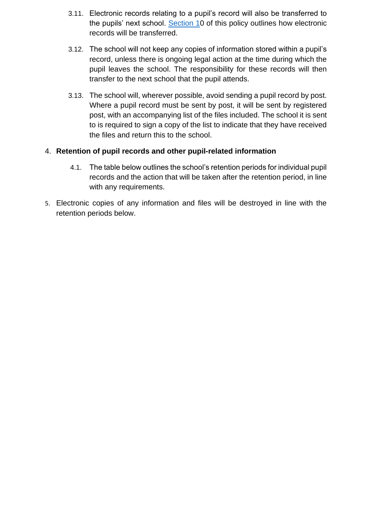- 3.11. Electronic records relating to a pupil's record will also be transferred to the pupils' next school. Section 10 of this policy outlines how electronic records will be transferred.
- 3.12. The school will not keep any copies of information stored within a pupil's record, unless there is ongoing legal action at the time during which the pupil leaves the school. The responsibility for these records will then transfer to the next school that the pupil attends.
- 3.13. The school will, wherever possible, avoid sending a pupil record by post. Where a pupil record must be sent by post, it will be sent by registered post, with an accompanying list of the files included. The school it is sent to is required to sign a copy of the list to indicate that they have received the files and return this to the school.

#### 4. **Retention of pupil records and other pupil-related information**

- 4.1. The table below outlines the school's retention periods for individual pupil records and the action that will be taken after the retention period, in line with any requirements.
- 5. Electronic copies of any information and files will be destroyed in line with the retention periods below.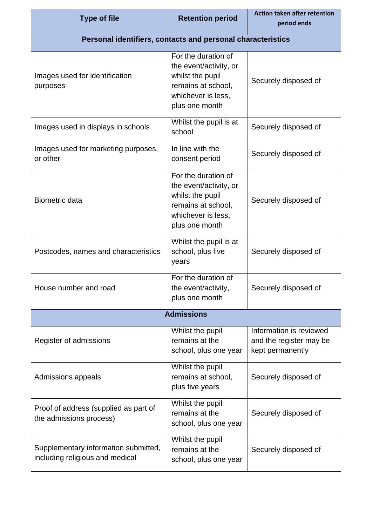| <b>Type of file</b>                                                     | <b>Retention period</b>                                                                                                         | <b>Action taken after retention</b><br>period ends                     |
|-------------------------------------------------------------------------|---------------------------------------------------------------------------------------------------------------------------------|------------------------------------------------------------------------|
| Personal identifiers, contacts and personal characteristics             |                                                                                                                                 |                                                                        |
| Images used for identification<br>purposes                              | For the duration of<br>the event/activity, or<br>whilst the pupil<br>remains at school,<br>whichever is less,<br>plus one month | Securely disposed of                                                   |
| Images used in displays in schools                                      | Whilst the pupil is at<br>school                                                                                                | Securely disposed of                                                   |
| Images used for marketing purposes,<br>or other                         | In line with the<br>consent period                                                                                              | Securely disposed of                                                   |
| <b>Biometric data</b>                                                   | For the duration of<br>the event/activity, or<br>whilst the pupil<br>remains at school,<br>whichever is less,<br>plus one month | Securely disposed of                                                   |
| Postcodes, names and characteristics                                    | Whilst the pupil is at<br>school, plus five<br>years                                                                            | Securely disposed of                                                   |
| House number and road                                                   | For the duration of<br>the event/activity,<br>plus one month                                                                    | Securely disposed of                                                   |
|                                                                         | <b>Admissions</b>                                                                                                               |                                                                        |
| Register of admissions                                                  | Whilst the pupil<br>remains at the<br>school, plus one year                                                                     | Information is reviewed<br>and the register may be<br>kept permanently |
| Admissions appeals                                                      | Whilst the pupil<br>remains at school,<br>plus five years                                                                       | Securely disposed of                                                   |
| Proof of address (supplied as part of<br>the admissions process)        | Whilst the pupil<br>remains at the<br>school, plus one year                                                                     | Securely disposed of                                                   |
| Supplementary information submitted,<br>including religious and medical | Whilst the pupil<br>remains at the<br>school, plus one year                                                                     | Securely disposed of                                                   |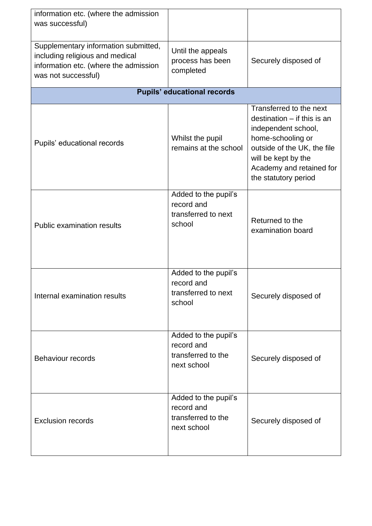| information etc. (where the admission<br>was successful)                                                                                |                                                                         |                                                                                                                                                                                                                |
|-----------------------------------------------------------------------------------------------------------------------------------------|-------------------------------------------------------------------------|----------------------------------------------------------------------------------------------------------------------------------------------------------------------------------------------------------------|
| Supplementary information submitted,<br>including religious and medical<br>information etc. (where the admission<br>was not successful) | Until the appeals<br>process has been<br>completed                      | Securely disposed of                                                                                                                                                                                           |
|                                                                                                                                         | <b>Pupils' educational records</b>                                      |                                                                                                                                                                                                                |
| Pupils' educational records                                                                                                             | Whilst the pupil<br>remains at the school                               | Transferred to the next<br>destination $-$ if this is an<br>independent school,<br>home-schooling or<br>outside of the UK, the file<br>will be kept by the<br>Academy and retained for<br>the statutory period |
| <b>Public examination results</b>                                                                                                       | Added to the pupil's<br>record and<br>transferred to next<br>school     | Returned to the<br>examination board                                                                                                                                                                           |
| Internal examination results                                                                                                            | Added to the pupil's<br>record and<br>transferred to next<br>school     | Securely disposed of                                                                                                                                                                                           |
| <b>Behaviour records</b>                                                                                                                | Added to the pupil's<br>record and<br>transferred to the<br>next school | Securely disposed of                                                                                                                                                                                           |
| <b>Exclusion records</b>                                                                                                                | Added to the pupil's<br>record and<br>transferred to the<br>next school | Securely disposed of                                                                                                                                                                                           |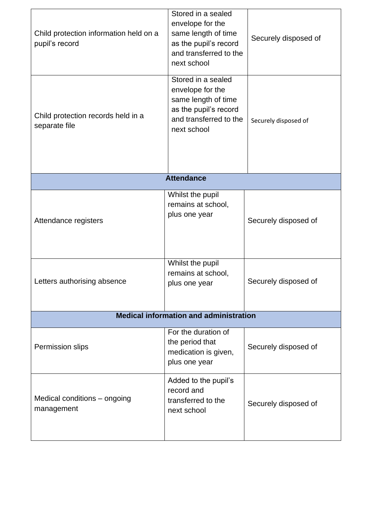| Child protection information held on a<br>pupil's record | Stored in a sealed<br>envelope for the<br>same length of time<br>as the pupil's record<br>and transferred to the<br>next school | Securely disposed of |  |
|----------------------------------------------------------|---------------------------------------------------------------------------------------------------------------------------------|----------------------|--|
| Child protection records held in a<br>separate file      | Stored in a sealed<br>envelope for the<br>same length of time<br>as the pupil's record<br>and transferred to the<br>next school | Securely disposed of |  |
|                                                          | <b>Attendance</b>                                                                                                               |                      |  |
| Attendance registers                                     | Whilst the pupil<br>remains at school,<br>plus one year                                                                         | Securely disposed of |  |
| Letters authorising absence                              | Whilst the pupil<br>remains at school,<br>plus one year                                                                         | Securely disposed of |  |
| <b>Medical information and administration</b>            |                                                                                                                                 |                      |  |
| Permission slips                                         | For the duration of<br>the period that<br>medication is given,<br>plus one year                                                 | Securely disposed of |  |
| Medical conditions – ongoing<br>management               | Added to the pupil's<br>record and<br>transferred to the<br>next school                                                         | Securely disposed of |  |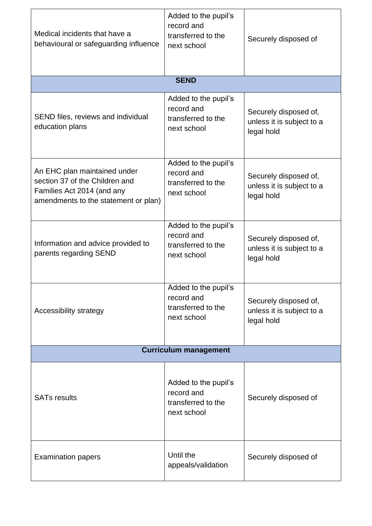| Medical incidents that have a<br>behavioural or safeguarding influence                                                               | Added to the pupil's<br>record and<br>transferred to the<br>next school | Securely disposed of                                             |
|--------------------------------------------------------------------------------------------------------------------------------------|-------------------------------------------------------------------------|------------------------------------------------------------------|
|                                                                                                                                      | <b>SEND</b>                                                             |                                                                  |
| SEND files, reviews and individual<br>education plans                                                                                | Added to the pupil's<br>record and<br>transferred to the<br>next school | Securely disposed of,<br>unless it is subject to a<br>legal hold |
| An EHC plan maintained under<br>section 37 of the Children and<br>Families Act 2014 (and any<br>amendments to the statement or plan) | Added to the pupil's<br>record and<br>transferred to the<br>next school | Securely disposed of,<br>unless it is subject to a<br>legal hold |
| Information and advice provided to<br>parents regarding SEND                                                                         | Added to the pupil's<br>record and<br>transferred to the<br>next school | Securely disposed of,<br>unless it is subject to a<br>legal hold |
| Accessibility strategy                                                                                                               | Added to the pupil's<br>record and<br>transferred to the<br>next school | Securely disposed of,<br>unless it is subject to a<br>legal hold |
|                                                                                                                                      | <b>Curriculum management</b>                                            |                                                                  |
| <b>SATs results</b>                                                                                                                  | Added to the pupil's<br>record and<br>transferred to the<br>next school | Securely disposed of                                             |
| <b>Examination papers</b>                                                                                                            | Until the<br>appeals/validation                                         | Securely disposed of                                             |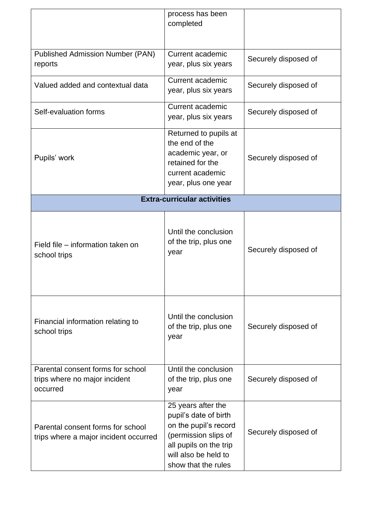|                                                                                | process has been<br>completed                                                                                                                                         |                      |
|--------------------------------------------------------------------------------|-----------------------------------------------------------------------------------------------------------------------------------------------------------------------|----------------------|
| <b>Published Admission Number (PAN)</b><br>reports                             | Current academic<br>year, plus six years                                                                                                                              | Securely disposed of |
| Valued added and contextual data                                               | Current academic<br>year, plus six years                                                                                                                              | Securely disposed of |
| Self-evaluation forms                                                          | <b>Current academic</b><br>year, plus six years                                                                                                                       | Securely disposed of |
| Pupils' work                                                                   | Returned to pupils at<br>the end of the<br>academic year, or<br>retained for the<br>current academic<br>year, plus one year                                           | Securely disposed of |
|                                                                                | <b>Extra-curricular activities</b>                                                                                                                                    |                      |
| Field file – information taken on<br>school trips                              | Until the conclusion<br>of the trip, plus one<br>year                                                                                                                 | Securely disposed of |
| Financial information relating to<br>school trips                              | Until the conclusion<br>of the trip, plus one<br>year                                                                                                                 | Securely disposed of |
| Parental consent forms for school<br>trips where no major incident<br>occurred | Until the conclusion<br>of the trip, plus one<br>year                                                                                                                 | Securely disposed of |
| Parental consent forms for school<br>trips where a major incident occurred     | 25 years after the<br>pupil's date of birth<br>on the pupil's record<br>(permission slips of<br>all pupils on the trip<br>will also be held to<br>show that the rules | Securely disposed of |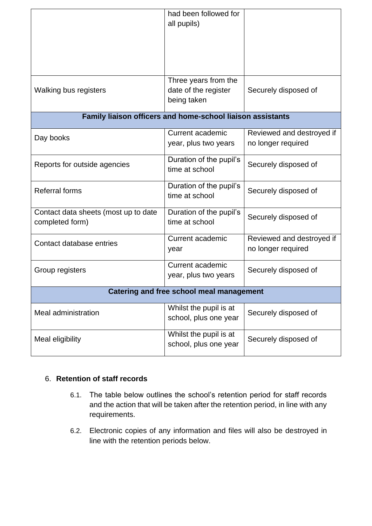|                                                            | had been followed for<br>all pupils)                        |                                                 |  |
|------------------------------------------------------------|-------------------------------------------------------------|-------------------------------------------------|--|
| Walking bus registers                                      | Three years from the<br>date of the register<br>being taken | Securely disposed of                            |  |
| Family liaison officers and home-school liaison assistants |                                                             |                                                 |  |
| Day books                                                  | Current academic<br>year, plus two years                    | Reviewed and destroyed if<br>no longer required |  |
| Reports for outside agencies                               | Duration of the pupil's<br>time at school                   | Securely disposed of                            |  |
| <b>Referral forms</b>                                      | Duration of the pupil's<br>time at school                   | Securely disposed of                            |  |
| Contact data sheets (most up to date<br>completed form)    | Duration of the pupil's<br>time at school                   | Securely disposed of                            |  |
| Contact database entries                                   | Current academic<br>year                                    | Reviewed and destroyed if<br>no longer required |  |
| Group registers                                            | <b>Current academic</b><br>year, plus two years             | Securely disposed of                            |  |
| <b>Catering and free school meal management</b>            |                                                             |                                                 |  |
| <b>Meal administration</b>                                 | Whilst the pupil is at<br>school, plus one year             | Securely disposed of                            |  |
| Meal eligibility                                           | Whilst the pupil is at<br>school, plus one year             | Securely disposed of                            |  |

#### <span id="page-11-0"></span>6. **Retention of staff records**

- 6.1. The table below outlines the school's retention period for staff records and the action that will be taken after the retention period, in line with any requirements.
- 6.2. Electronic copies of any information and files will also be destroyed in line with the retention periods below.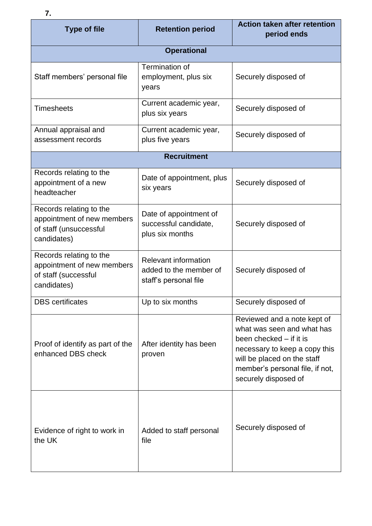| <b>Type of file</b>                                                                            | <b>Retention period</b>                                                        | <b>Action taken after retention</b><br>period ends                                                                                                                                                              |
|------------------------------------------------------------------------------------------------|--------------------------------------------------------------------------------|-----------------------------------------------------------------------------------------------------------------------------------------------------------------------------------------------------------------|
|                                                                                                | <b>Operational</b>                                                             |                                                                                                                                                                                                                 |
| Staff members' personal file                                                                   | Termination of<br>employment, plus six<br>years                                | Securely disposed of                                                                                                                                                                                            |
| <b>Timesheets</b>                                                                              | Current academic year,<br>plus six years                                       | Securely disposed of                                                                                                                                                                                            |
| Annual appraisal and<br>assessment records                                                     | Current academic year,<br>plus five years                                      | Securely disposed of                                                                                                                                                                                            |
|                                                                                                | <b>Recruitment</b>                                                             |                                                                                                                                                                                                                 |
| Records relating to the<br>appointment of a new<br>headteacher                                 | Date of appointment, plus<br>six years                                         | Securely disposed of                                                                                                                                                                                            |
| Records relating to the<br>appointment of new members<br>of staff (unsuccessful<br>candidates) | Date of appointment of<br>successful candidate,<br>plus six months             | Securely disposed of                                                                                                                                                                                            |
| Records relating to the<br>appointment of new members<br>of staff (successful<br>candidates)   | <b>Relevant information</b><br>added to the member of<br>staff's personal file | Securely disposed of                                                                                                                                                                                            |
| <b>DBS</b> certificates                                                                        | Up to six months                                                               | Securely disposed of                                                                                                                                                                                            |
| Proof of identify as part of the<br>enhanced DBS check                                         | After identity has been<br>proven                                              | Reviewed and a note kept of<br>what was seen and what has<br>been checked – if it is<br>necessary to keep a copy this<br>will be placed on the staff<br>member's personal file, if not,<br>securely disposed of |
| Evidence of right to work in<br>the UK                                                         | Added to staff personal<br>file                                                | Securely disposed of                                                                                                                                                                                            |

**7.**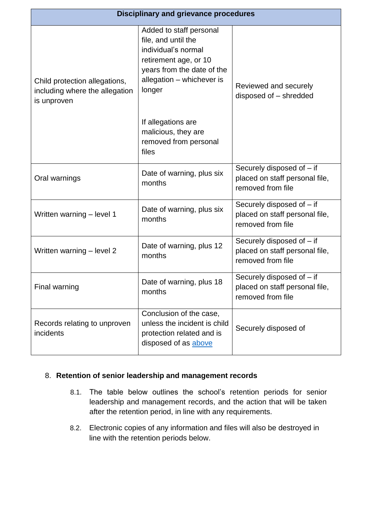<span id="page-13-1"></span>

| <b>Disciplinary and grievance procedures</b>                                   |                                                                                                                                                                     |                                                                                  |  |
|--------------------------------------------------------------------------------|---------------------------------------------------------------------------------------------------------------------------------------------------------------------|----------------------------------------------------------------------------------|--|
| Child protection allegations,<br>including where the allegation<br>is unproven | Added to staff personal<br>file, and until the<br>individual's normal<br>retirement age, or 10<br>years from the date of the<br>allegation - whichever is<br>longer | Reviewed and securely<br>disposed of - shredded                                  |  |
|                                                                                | If allegations are<br>malicious, they are<br>removed from personal<br>files                                                                                         |                                                                                  |  |
| Oral warnings                                                                  | Date of warning, plus six<br>months                                                                                                                                 | Securely disposed of - if<br>placed on staff personal file,<br>removed from file |  |
| Written warning - level 1                                                      | Date of warning, plus six<br>months                                                                                                                                 | Securely disposed of - if<br>placed on staff personal file,<br>removed from file |  |
| Written warning - level 2                                                      | Date of warning, plus 12<br>months                                                                                                                                  | Securely disposed of - if<br>placed on staff personal file,<br>removed from file |  |
| Final warning                                                                  | Date of warning, plus 18<br>months                                                                                                                                  | Securely disposed of - if<br>placed on staff personal file,<br>removed from file |  |
| Records relating to unproven<br>incidents                                      | Conclusion of the case,<br>unless the incident is child<br>protection related and is<br>disposed of as above                                                        | Securely disposed of                                                             |  |

#### <span id="page-13-0"></span>8. **Retention of senior leadership and management records**

- 8.1. The table below outlines the school's retention periods for senior leadership and management records, and the action that will be taken after the retention period, in line with any requirements.
- 8.2. Electronic copies of any information and files will also be destroyed in line with the retention periods below.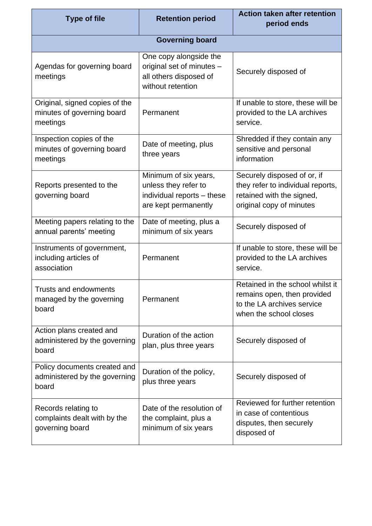| <b>Type of file</b>                                                      | <b>Retention period</b>                                                                             | <b>Action taken after retention</b><br>period ends                                                                        |
|--------------------------------------------------------------------------|-----------------------------------------------------------------------------------------------------|---------------------------------------------------------------------------------------------------------------------------|
|                                                                          | <b>Governing board</b>                                                                              |                                                                                                                           |
| Agendas for governing board<br>meetings                                  | One copy alongside the<br>original set of minutes -<br>all others disposed of<br>without retention  | Securely disposed of                                                                                                      |
| Original, signed copies of the<br>minutes of governing board<br>meetings | Permanent                                                                                           | If unable to store, these will be<br>provided to the LA archives<br>service.                                              |
| Inspection copies of the<br>minutes of governing board<br>meetings       | Date of meeting, plus<br>three years                                                                | Shredded if they contain any<br>sensitive and personal<br>information                                                     |
| Reports presented to the<br>governing board                              | Minimum of six years,<br>unless they refer to<br>individual reports - these<br>are kept permanently | Securely disposed of or, if<br>they refer to individual reports,<br>retained with the signed,<br>original copy of minutes |
| Meeting papers relating to the<br>annual parents' meeting                | Date of meeting, plus a<br>minimum of six years                                                     | Securely disposed of                                                                                                      |
| Instruments of government,<br>including articles of<br>association       | Permanent                                                                                           | If unable to store, these will be<br>provided to the LA archives<br>service.                                              |
| <b>Trusts and endowments</b><br>managed by the governing<br>board        | Permanent                                                                                           | Retained in the school whilst it<br>remains open, then provided<br>to the LA archives service<br>when the school closes   |
| Action plans created and<br>administered by the governing<br>board       | Duration of the action<br>plan, plus three years                                                    | Securely disposed of                                                                                                      |
| Policy documents created and<br>administered by the governing<br>board   | Duration of the policy,<br>plus three years                                                         | Securely disposed of                                                                                                      |
| Records relating to<br>complaints dealt with by the<br>governing board   | Date of the resolution of<br>the complaint, plus a<br>minimum of six years                          | Reviewed for further retention<br>in case of contentious<br>disputes, then securely<br>disposed of                        |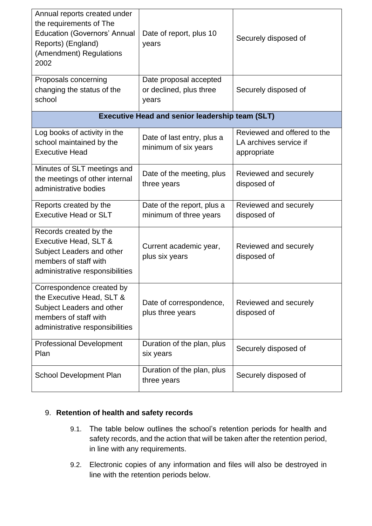| Annual reports created under<br>the requirements of The<br><b>Education (Governors' Annual</b><br>Reports) (England)<br>(Amendment) Regulations<br>2002 | Date of report, plus 10<br>years                           | Securely disposed of                                                 |
|---------------------------------------------------------------------------------------------------------------------------------------------------------|------------------------------------------------------------|----------------------------------------------------------------------|
| Proposals concerning<br>changing the status of the<br>school                                                                                            | Date proposal accepted<br>or declined, plus three<br>years | Securely disposed of                                                 |
|                                                                                                                                                         | <b>Executive Head and senior leadership team (SLT)</b>     |                                                                      |
| Log books of activity in the<br>school maintained by the<br><b>Executive Head</b>                                                                       | Date of last entry, plus a<br>minimum of six years         | Reviewed and offered to the<br>LA archives service if<br>appropriate |
| Minutes of SLT meetings and<br>the meetings of other internal<br>administrative bodies                                                                  | Date of the meeting, plus<br>three years                   | Reviewed and securely<br>disposed of                                 |
| Reports created by the<br><b>Executive Head or SLT</b>                                                                                                  | Date of the report, plus a<br>minimum of three years       | Reviewed and securely<br>disposed of                                 |
| Records created by the<br>Executive Head, SLT &<br>Subject Leaders and other<br>members of staff with<br>administrative responsibilities                | Current academic year,<br>plus six years                   | Reviewed and securely<br>disposed of                                 |
| Correspondence created by<br>the Executive Head, SLT &<br>Subject Leaders and other<br>members of staff with<br>administrative responsibilities         | Date of correspondence,<br>plus three years                | Reviewed and securely<br>disposed of                                 |
| <b>Professional Development</b><br>Plan                                                                                                                 | Duration of the plan, plus<br>six years                    | Securely disposed of                                                 |
| School Development Plan                                                                                                                                 | Duration of the plan, plus<br>three years                  | Securely disposed of                                                 |

#### <span id="page-15-0"></span>9. **Retention of health and safety records**

- 9.1. The table below outlines the school's retention periods for health and safety records, and the action that will be taken after the retention period, in line with any requirements.
- 9.2. Electronic copies of any information and files will also be destroyed in line with the retention periods below.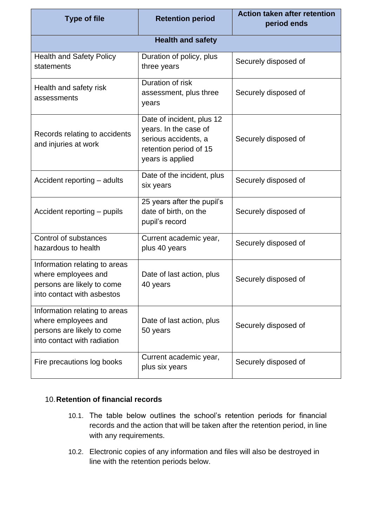| <b>Type of file</b>                                                                                               | <b>Retention period</b>                                                                                                  | <b>Action taken after retention</b><br>period ends |
|-------------------------------------------------------------------------------------------------------------------|--------------------------------------------------------------------------------------------------------------------------|----------------------------------------------------|
|                                                                                                                   | <b>Health and safety</b>                                                                                                 |                                                    |
| <b>Health and Safety Policy</b><br>statements                                                                     | Duration of policy, plus<br>three years                                                                                  | Securely disposed of                               |
| Health and safety risk<br>assessments                                                                             | Duration of risk<br>assessment, plus three<br>years                                                                      | Securely disposed of                               |
| Records relating to accidents<br>and injuries at work                                                             | Date of incident, plus 12<br>years. In the case of<br>serious accidents, a<br>retention period of 15<br>years is applied | Securely disposed of                               |
| Accident reporting – adults                                                                                       | Date of the incident, plus<br>six years                                                                                  | Securely disposed of                               |
| Accident reporting - pupils                                                                                       | 25 years after the pupil's<br>date of birth, on the<br>pupil's record                                                    | Securely disposed of                               |
| Control of substances<br>hazardous to health                                                                      | Current academic year,<br>plus 40 years                                                                                  | Securely disposed of                               |
| Information relating to areas<br>where employees and<br>persons are likely to come<br>into contact with asbestos  | Date of last action, plus<br>40 years                                                                                    | Securely disposed of                               |
| Information relating to areas<br>where employees and<br>persons are likely to come<br>into contact with radiation | Date of last action, plus<br>50 years                                                                                    | Securely disposed of                               |
| Fire precautions log books                                                                                        | Current academic year,<br>plus six years                                                                                 | Securely disposed of                               |

#### <span id="page-16-0"></span>10.**Retention of financial records**

- 10.1. The table below outlines the school's retention periods for financial records and the action that will be taken after the retention period, in line with any requirements.
- 10.2. Electronic copies of any information and files will also be destroyed in line with the retention periods below.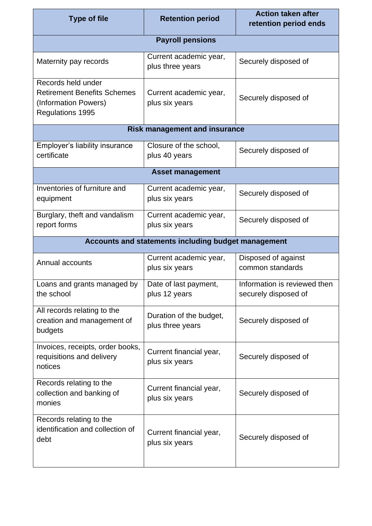| <b>Type of file</b>                                                                                         | <b>Retention period</b>                             | <b>Action taken after</b><br>retention period ends   |
|-------------------------------------------------------------------------------------------------------------|-----------------------------------------------------|------------------------------------------------------|
|                                                                                                             | <b>Payroll pensions</b>                             |                                                      |
| Maternity pay records                                                                                       | Current academic year,<br>plus three years          | Securely disposed of                                 |
| Records held under<br><b>Retirement Benefits Schemes</b><br>(Information Powers)<br><b>Regulations 1995</b> | Current academic year,<br>plus six years            | Securely disposed of                                 |
|                                                                                                             | <b>Risk management and insurance</b>                |                                                      |
| Employer's liability insurance<br>certificate                                                               | Closure of the school,<br>plus 40 years             | Securely disposed of                                 |
|                                                                                                             | <b>Asset management</b>                             |                                                      |
| Inventories of furniture and<br>equipment                                                                   | Current academic year,<br>plus six years            | Securely disposed of                                 |
| Burglary, theft and vandalism<br>report forms                                                               | Current academic year,<br>plus six years            | Securely disposed of                                 |
|                                                                                                             | Accounts and statements including budget management |                                                      |
| Annual accounts                                                                                             | Current academic year,<br>plus six years            | Disposed of against<br>common standards              |
| Loans and grants managed by<br>the school                                                                   | Date of last payment,<br>plus 12 years              | Information is reviewed then<br>securely disposed of |
| All records relating to the<br>creation and management of<br>budgets                                        | Duration of the budget,<br>plus three years         | Securely disposed of                                 |
| Invoices, receipts, order books,<br>requisitions and delivery<br>notices                                    | Current financial year,<br>plus six years           | Securely disposed of                                 |
| Records relating to the<br>collection and banking of<br>monies                                              | Current financial year,<br>plus six years           | Securely disposed of                                 |
| Records relating to the<br>identification and collection of<br>debt                                         | Current financial year,<br>plus six years           | Securely disposed of                                 |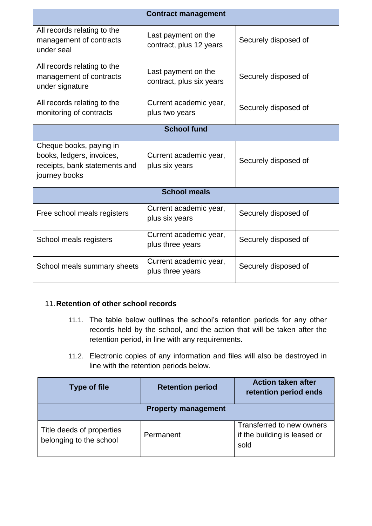| <b>Contract management</b>                                                                             |                                                 |                      |  |  |
|--------------------------------------------------------------------------------------------------------|-------------------------------------------------|----------------------|--|--|
| All records relating to the<br>management of contracts<br>under seal                                   | Last payment on the<br>contract, plus 12 years  | Securely disposed of |  |  |
| All records relating to the<br>management of contracts<br>under signature                              | Last payment on the<br>contract, plus six years | Securely disposed of |  |  |
| All records relating to the<br>monitoring of contracts                                                 | Current academic year,<br>plus two years        | Securely disposed of |  |  |
| <b>School fund</b>                                                                                     |                                                 |                      |  |  |
| Cheque books, paying in<br>books, ledgers, invoices,<br>receipts, bank statements and<br>journey books | Current academic year,<br>plus six years        | Securely disposed of |  |  |
| <b>School meals</b>                                                                                    |                                                 |                      |  |  |
| Free school meals registers                                                                            | Current academic year,<br>plus six years        | Securely disposed of |  |  |
| School meals registers                                                                                 | Current academic year,<br>plus three years      | Securely disposed of |  |  |
| School meals summary sheets                                                                            | Current academic year,<br>plus three years      | Securely disposed of |  |  |

#### <span id="page-18-0"></span>11.**Retention of other school records**

- 11.1. The table below outlines the school's retention periods for any other records held by the school, and the action that will be taken after the retention period, in line with any requirements.
- 11.2. Electronic copies of any information and files will also be destroyed in line with the retention periods below.

| <b>Type of file</b>                                  | <b>Retention period</b> | <b>Action taken after</b><br>retention period ends                |  |  |
|------------------------------------------------------|-------------------------|-------------------------------------------------------------------|--|--|
| <b>Property management</b>                           |                         |                                                                   |  |  |
| Title deeds of properties<br>belonging to the school | Permanent               | Transferred to new owners<br>if the building is leased or<br>sold |  |  |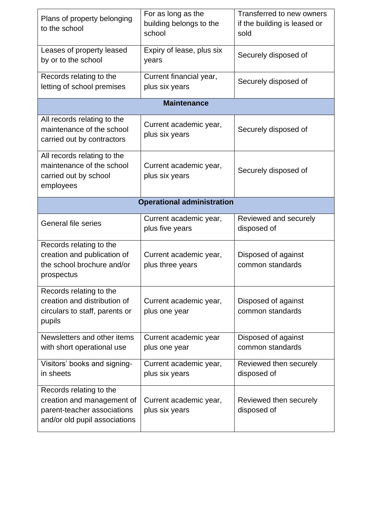| Plans of property belonging<br>to the school                                                                          | For as long as the<br>building belongs to the<br>school | Transferred to new owners<br>if the building is leased or<br>sold |  |  |
|-----------------------------------------------------------------------------------------------------------------------|---------------------------------------------------------|-------------------------------------------------------------------|--|--|
| Leases of property leased<br>by or to the school                                                                      | Expiry of lease, plus six<br>years                      | Securely disposed of                                              |  |  |
| Records relating to the<br>letting of school premises                                                                 | Current financial year,<br>plus six years               | Securely disposed of                                              |  |  |
|                                                                                                                       | <b>Maintenance</b>                                      |                                                                   |  |  |
| All records relating to the<br>maintenance of the school<br>carried out by contractors                                | Current academic year,<br>plus six years                | Securely disposed of                                              |  |  |
| All records relating to the<br>maintenance of the school<br>carried out by school<br>employees                        | Current academic year,<br>plus six years                | Securely disposed of                                              |  |  |
| <b>Operational administration</b>                                                                                     |                                                         |                                                                   |  |  |
| <b>General file series</b>                                                                                            | Current academic year,<br>plus five years               | Reviewed and securely<br>disposed of                              |  |  |
| Records relating to the<br>creation and publication of<br>the school brochure and/or<br>prospectus                    | Current academic year,<br>plus three years              | Disposed of against<br>common standards                           |  |  |
| Records relating to the<br>creation and distribution of<br>circulars to staff, parents or<br>pupils                   | Current academic year,<br>plus one year                 | Disposed of against<br>common standards                           |  |  |
| Newsletters and other items<br>with short operational use                                                             | Current academic year<br>plus one year                  | Disposed of against<br>common standards                           |  |  |
| Visitors' books and signing-<br>in sheets                                                                             | Current academic year,<br>plus six years                | Reviewed then securely<br>disposed of                             |  |  |
| Records relating to the<br>creation and management of<br>parent-teacher associations<br>and/or old pupil associations | Current academic year,<br>plus six years                | Reviewed then securely<br>disposed of                             |  |  |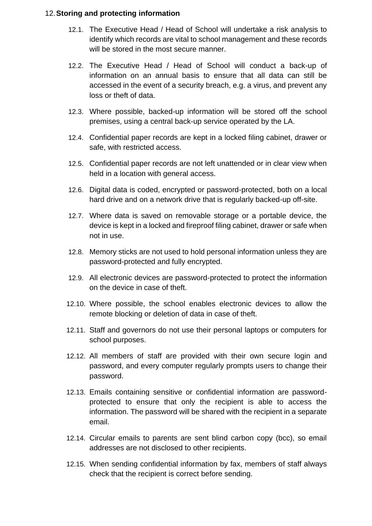#### 12.**Storing and protecting information**

- 12.1. The Executive Head / Head of School will undertake a risk analysis to identify which records are vital to school management and these records will be stored in the most secure manner.
- 12.2. The Executive Head / Head of School will conduct a back-up of information on an annual basis to ensure that all data can still be accessed in the event of a security breach, e.g. a virus, and prevent any loss or theft of data.
- 12.3. Where possible, backed-up information will be stored off the school premises, using a central back-up service operated by the LA.
- 12.4. Confidential paper records are kept in a locked filing cabinet, drawer or safe, with restricted access.
- 12.5. Confidential paper records are not left unattended or in clear view when held in a location with general access.
- 12.6. Digital data is coded, encrypted or password-protected, both on a local hard drive and on a network drive that is regularly backed-up off-site.
- 12.7. Where data is saved on removable storage or a portable device, the device is kept in a locked and fireproof filing cabinet, drawer or safe when not in use.
- 12.8. Memory sticks are not used to hold personal information unless they are password-protected and fully encrypted.
- 12.9. All electronic devices are password-protected to protect the information on the device in case of theft.
- 12.10. Where possible, the school enables electronic devices to allow the remote blocking or deletion of data in case of theft.
- 12.11. Staff and governors do not use their personal laptops or computers for school purposes.
- 12.12. All members of staff are provided with their own secure login and password, and every computer regularly prompts users to change their password.
- 12.13. Emails containing sensitive or confidential information are passwordprotected to ensure that only the recipient is able to access the information. The password will be shared with the recipient in a separate email.
- 12.14. Circular emails to parents are sent blind carbon copy (bcc), so email addresses are not disclosed to other recipients.
- 12.15. When sending confidential information by fax, members of staff always check that the recipient is correct before sending.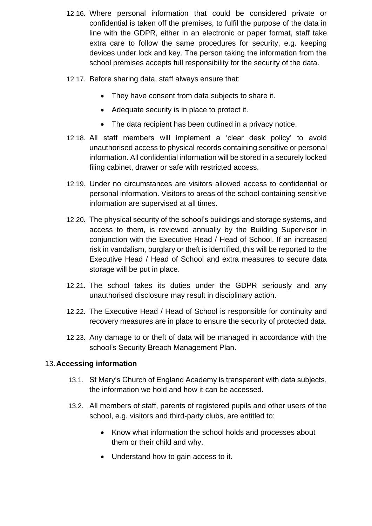- 12.16. Where personal information that could be considered private or confidential is taken off the premises, to fulfil the purpose of the data in line with the GDPR, either in an electronic or paper format, staff take extra care to follow the same procedures for security, e.g. keeping devices under lock and key. The person taking the information from the school premises accepts full responsibility for the security of the data.
- 12.17. Before sharing data, staff always ensure that:
	- They have consent from data subjects to share it.
	- Adequate security is in place to protect it.
	- The data recipient has been outlined in a privacy notice.
- 12.18. All staff members will implement a 'clear desk policy' to avoid unauthorised access to physical records containing sensitive or personal information. All confidential information will be stored in a securely locked filing cabinet, drawer or safe with restricted access.
- 12.19. Under no circumstances are visitors allowed access to confidential or personal information. Visitors to areas of the school containing sensitive information are supervised at all times.
- 12.20. The physical security of the school's buildings and storage systems, and access to them, is reviewed annually by the Building Supervisor in conjunction with the Executive Head / Head of School. If an increased risk in vandalism, burglary or theft is identified, this will be reported to the Executive Head / Head of School and extra measures to secure data storage will be put in place.
- 12.21. The school takes its duties under the GDPR seriously and any unauthorised disclosure may result in disciplinary action.
- 12.22. The Executive Head / Head of School is responsible for continuity and recovery measures are in place to ensure the security of protected data.
- 12.23. Any damage to or theft of data will be managed in accordance with the school's Security Breach Management Plan.

#### <span id="page-21-0"></span>13.**Accessing information**

- 13.1. St Mary's Church of England Academy is transparent with data subjects, the information we hold and how it can be accessed.
- 13.2. All members of staff, parents of registered pupils and other users of the school, e.g. visitors and third-party clubs, are entitled to:
	- Know what information the school holds and processes about them or their child and why.
	- Understand how to gain access to it.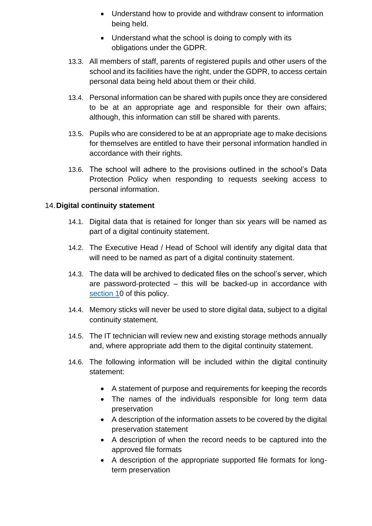- Understand how to provide and withdraw consent to information being held.
- Understand what the school is doing to comply with its obligations under the GDPR.
- 13.3. All members of staff, parents of registered pupils and other users of the school and its facilities have the right, under the GDPR, to access certain personal data being held about them or their child.
- 13.4. Personal information can be shared with pupils once they are considered to be at an appropriate age and responsible for their own affairs; although, this information can still be shared with parents.
- 13.5. Pupils who are considered to be at an appropriate age to make decisions for themselves are entitled to have their personal information handled in accordance with their rights.
- 13.6. The school will adhere to the provisions outlined in the school's Data Protection Policy when responding to requests seeking access to personal information.

#### <span id="page-22-0"></span>14.**Digital continuity statement**

- 14.1. Digital data that is retained for longer than six years will be named as part of a digital continuity statement.
- 14.2. The Executive Head / Head of School will identify any digital data that will need to be named as part of a digital continuity statement.
- 14.3. The data will be archived to dedicated files on the school's server, which are password-protected – this will be backed-up in accordance with section 10 of this policy.
- 14.4. Memory sticks will never be used to store digital data, subject to a digital continuity statement.
- 14.5. The IT technician will review new and existing storage methods annually and, where appropriate add them to the digital continuity statement.
- 14.6. The following information will be included within the digital continuity statement:
	- A statement of purpose and requirements for keeping the records
	- The names of the individuals responsible for long term data preservation
	- A description of the information assets to be covered by the digital preservation statement
	- A description of when the record needs to be captured into the approved file formats
	- A description of the appropriate supported file formats for longterm preservation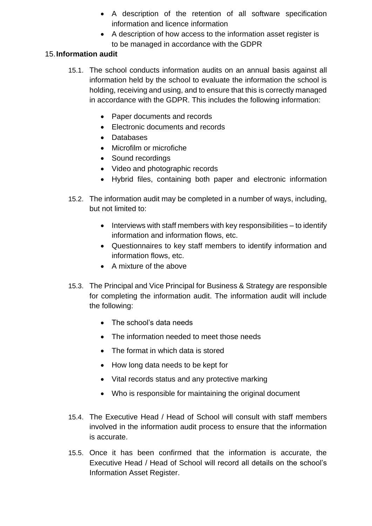- A description of the retention of all software specification information and licence information
- A description of how access to the information asset register is to be managed in accordance with the GDPR

#### <span id="page-23-0"></span>15.**Information audit**

- 15.1. The school conducts information audits on an annual basis against all information held by the school to evaluate the information the school is holding, receiving and using, and to ensure that this is correctly managed in accordance with the GDPR. This includes the following information:
	- Paper documents and records
	- Electronic documents and records
	- Databases
	- Microfilm or microfiche
	- Sound recordings
	- Video and photographic records
	- Hybrid files, containing both paper and electronic information
- 15.2. The information audit may be completed in a number of ways, including, but not limited to:
	- Interviews with staff members with key responsibilities to identify information and information flows, etc.
	- Questionnaires to key staff members to identify information and information flows, etc.
	- A mixture of the above
- 15.3. The Principal and Vice Principal for Business & Strategy are responsible for completing the information audit. The information audit will include the following:
	- The school's data needs
	- The information needed to meet those needs
	- The format in which data is stored
	- How long data needs to be kept for
	- Vital records status and any protective marking
	- Who is responsible for maintaining the original document
- 15.4. The Executive Head / Head of School will consult with staff members involved in the information audit process to ensure that the information is accurate.
- 15.5. Once it has been confirmed that the information is accurate, the Executive Head / Head of School will record all details on the school's Information Asset Register.